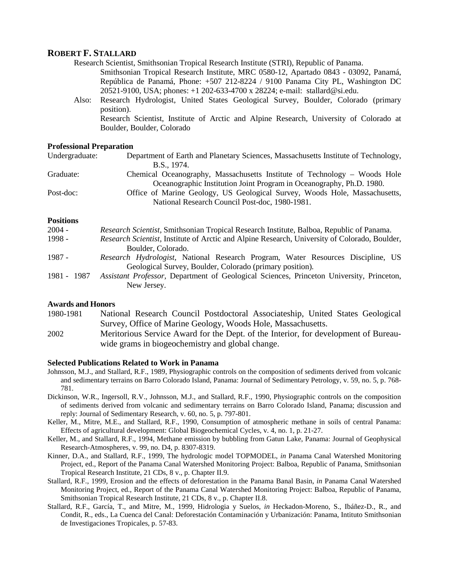# **ROBERT F. STALLARD**

Research Scientist, Smithsonian Tropical Research Institute (STRI), Republic of Panama.

Smithsonian Tropical Research Institute, MRC 0580-12, Apartado 0843 - 03092, Panamá, República de Panamá, Phone: +507 212-8224 / 9100 Panama City PL, Washington DC 20521-9100, USA; phones: +1 202-633-4700 x 28224; e-mail: stallard@si.edu.

Also: Research Hydrologist, United States Geological Survey, Boulder, Colorado (primary position). Research Scientist, Institute of Arctic and Alpine Research, University of Colorado at

Boulder, Boulder, Colorado

#### **Professional Preparation**

| Undergraduate: | Department of Earth and Planetary Sciences, Massachusetts Institute of Technology,                                           |
|----------------|------------------------------------------------------------------------------------------------------------------------------|
|                | B.S., 1974.                                                                                                                  |
| Graduate:      | Chemical Oceanography, Massachusetts Institute of Technology – Woods Hole                                                    |
|                | Oceanographic Institution Joint Program in Oceanography, Ph.D. 1980.                                                         |
| Post-doc:      | Office of Marine Geology, US Geological Survey, Woods Hole, Massachusetts,<br>National Research Council Post-doc, 1980-1981. |
|                |                                                                                                                              |

## **Positions**

| $2004 -$    | Research Scientist, Smithsonian Tropical Research Institute, Balboa, Republic of Panama.      |
|-------------|-----------------------------------------------------------------------------------------------|
| $1998 -$    | Research Scientist, Institute of Arctic and Alpine Research, University of Colorado, Boulder, |
|             | Boulder, Colorado.                                                                            |
| 1987 -      | Research Hydrologist, National Research Program, Water Resources Discipline, US               |
|             | Geological Survey, Boulder, Colorado (primary position).                                      |
| 1981 - 1987 | Assistant Professor, Department of Geological Sciences, Princeton University, Princeton,      |
|             | New Jersey.                                                                                   |

### **Awards and Honors**

1980-1981 National Research Council Postdoctoral Associateship, United States Geological Survey, Office of Marine Geology, Woods Hole, Massachusetts.

2002 Meritorious Service Award for the Dept. of the Interior, for development of Bureauwide grams in biogeochemistry and global change.

#### **Selected Publications Related to Work in Panama**

- Johnsson, M.J., and Stallard, R.F., 1989, Physiographic controls on the composition of sediments derived from volcanic and sedimentary terrains on Barro Colorado Island, Panama: Journal of Sedimentary Petrology, v. 59, no. 5, p. 768- 781.
- Dickinson, W.R., Ingersoll, R.V., Johnsson, M.J., and Stallard, R.F., 1990, Physiographic controls on the composition of sediments derived from volcanic and sedimentary terrains on Barro Colorado Island, Panama; discussion and reply: Journal of Sedimentary Research, v. 60, no. 5, p. 797-801.
- Keller, M., Mitre, M.E., and Stallard, R.F., 1990, Consumption of atmospheric methane in soils of central Panama: Effects of agricultural development: Global Biogeochemical Cycles, v. 4, no. 1, p. 21-27.
- Keller, M., and Stallard, R.F., 1994, Methane emission by bubbling from Gatun Lake, Panama: Journal of Geophysical Research-Atmospheres, v. 99, no. D4, p. 8307-8319.
- Kinner, D.A., and Stallard, R.F., 1999, The hydrologic model TOPMODEL, *in* Panama Canal Watershed Monitoring Project, ed., Report of the Panama Canal Watershed Monitoring Project: Balboa, Republic of Panama, Smithsonian Tropical Research Institute, 21 CDs, 8 v., p. Chapter II.9.
- Stallard, R.F., 1999, Erosion and the effects of deforestation in the Panama Banal Basin, *in* Panama Canal Watershed Monitoring Project, ed., Report of the Panama Canal Watershed Monitoring Project: Balboa, Republic of Panama, Smithsonian Tropical Research Institute, 21 CDs, 8 v., p. Chapter II.8.
- Stallard, R.F., García, T., and Mitre, M., 1999, Hidrologia y Suelos, *in* Heckadon-Moreno, S., Ibáñez-D., R., and Condit, R., eds., La Cuenca del Canal: Deforestación Contaminación y Urbanización: Panama, Intituto Smithsonian de Investigaciones Tropicales, p. 57-83.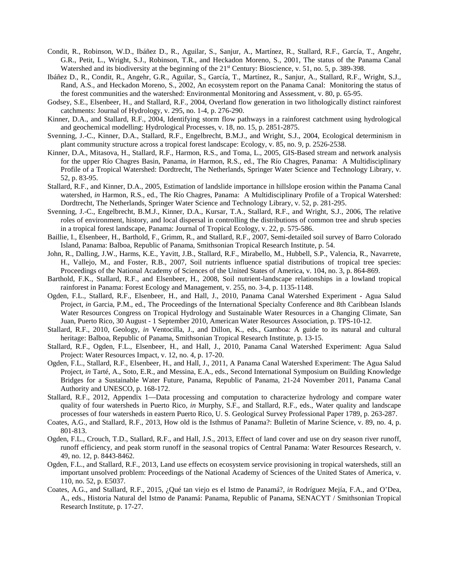- Condit, R., Robinson, W.D., Ibáñez D., R., Aguilar, S., Sanjur, A., Martínez, R., Stallard, R.F., García, T., Angehr, G.R., Petit, L., Wright, S.J., Robinson, T.R., and Heckadon Moreno, S., 2001, The status of the Panama Canal Watershed and its biodiversity at the beginning of the 21<sup>st</sup> Century: Bioscience, v. 51, no. 5, p. 389-398.
- Ibáñez D., R., Condit, R., Angehr, G.R., Aguilar, S., García, T., Martínez, R., Sanjur, A., Stallard, R.F., Wright, S.J., Rand, A.S., and Heckadon Moreno, S., 2002, An ecosystem report on the Panama Canal: Monitoring the status of the forest communities and the watershed: Environmental Monitoring and Assessment, v. 80, p. 65-95.
- Godsey, S.E., Elsenbeer, H., and Stallard, R.F., 2004, Overland flow generation in two lithologically distinct rainforest catchments: Journal of Hydrology, v. 295, no. 1-4, p. 276-290.
- Kinner, D.A., and Stallard, R.F., 2004, Identifying storm flow pathways in a rainforest catchment using hydrological and geochemical modelling: Hydrological Processes, v. 18, no. 15, p. 2851-2875.
- Svenning, J.-C., Kinner, D.A., Stallard, R.F., Engelbrecht, B.M.J., and Wright, S.J., 2004, Ecological determinism in plant community structure across a tropical forest landscape: Ecology, v. 85, no. 9, p. 2526-2538.
- Kinner, D.A., Mitasova, H., Stallard, R.F., Harmon, R.S., and Toma, L., 2005, GIS-Based stream and network analysis for the upper Río Chagres Basin, Panama, *in* Harmon, R.S., ed., The Río Chagres, Panama: A Multidisciplinary Profile of a Tropical Watershed: Dordtrecht, The Netherlands, Springer Water Science and Technology Library, v. 52, p. 83-95.
- Stallard, R.F., and Kinner, D.A., 2005, Estimation of landslide importance in hillslope erosion within the Panama Canal watershed, *in* Harmon, R.S., ed., The Río Chagres, Panama: A Multidisciplinary Profile of a Tropical Watershed: Dordtrecht, The Netherlands, Springer Water Science and Technology Library, v. 52, p. 281-295.
- Svenning, J.-C., Engelbrecht, B.M.J., Kinner, D.A., Kursar, T.A., Stallard, R.F., and Wright, S.J., 2006, The relative roles of environment, history, and local dispersal in controlling the distributions of common tree and shrub species in a tropical forest landscape, Panama: Journal of Tropical Ecology, v. 22, p. 575-586.
- Baillie, I., Elsenbeer, H., Barthold, F., Grimm, R., and Stallard, R.F., 2007, Semi-detailed soil survey of Barro Colorado Island, Panama: Balboa, Republic of Panama, Smithsonian Tropical Research Institute, p. 54.
- John, R., Dalling, J.W., Harms, K.E., Yavitt, J.B., Stallard, R.F., Mirabello, M., Hubbell, S.P., Valencia, R., Navarrete, H., Vallejo, M., and Foster, R.B., 2007, Soil nutrients influence spatial distributions of tropical tree species: Proceedings of the National Academy of Sciences of the United States of America, v. 104, no. 3, p. 864-869.
- Barthold, F.K., Stallard, R.F., and Elsenbeer, H., 2008, Soil nutrient-landscape relationships in a lowland tropical rainforest in Panama: Forest Ecology and Management, v. 255, no. 3-4, p. 1135-1148.
- Ogden, F.L., Stallard, R.F., Elsenbeer, H., and Hall, J., 2010, Panama Canal Watershed Experiment Agua Salud Project, *in* Garcia, P.M., ed., The Proceedings of the International Specialty Conference and 8th Caribbean Islands Water Resources Congress on Tropical Hydrology and Sustainable Water Resources in a Changing Climate, San Juan, Puerto Rico, 30 August - 1 September 2010, American Water Resources Association, p. TPS-10-12.
- Stallard, R.F., 2010, Geology, *in* Ventocilla, J., and Dillon, K., eds., Gamboa: A guide to its natural and cultural heritage: Balboa, Republic of Panama, Smithsonian Tropical Research Institute, p. 13-15.
- Stallard, R.F., Ogden, F.L., Elsenbeer, H., and Hall, J., 2010, Panama Canal Watershed Experiment: Agua Salud Project: Water Resources Impact, v. 12, no. 4, p. 17-20.
- Ogden, F.L., Stallard, R.F., Elsenbeer, H., and Hall, J., 2011, A Panama Canal Watershed Experiment: The Agua Salud Project, *in* Tarté, A., Soto, E.R., and Messina, E.A., eds., Second International Symposium on Building Knowledge Bridges for a Sustainable Water Future, Panama, Republic of Panama, 21-24 November 2011, Panama Canal Authority and UNESCO, p. 168-172.
- Stallard, R.F., 2012, Appendix 1—Data processing and computation to characterize hydrology and compare water quality of four watersheds in Puerto Rico, *in* Murphy, S.F., and Stallard, R.F., eds., Water quality and landscape processes of four watersheds in eastern Puerto Rico, U. S. Geological Survey Professional Paper 1789, p. 263-287.
- Coates, A.G., and Stallard, R.F., 2013, How old is the Isthmus of Panama?: Bulletin of Marine Science, v. 89, no. 4, p. 801-813.
- Ogden, F.L., Crouch, T.D., Stallard, R.F., and Hall, J.S., 2013, Effect of land cover and use on dry season river runoff, runoff efficiency, and peak storm runoff in the seasonal tropics of Central Panama: Water Resources Research, v. 49, no. 12, p. 8443-8462.
- Ogden, F.L., and Stallard, R.F., 2013, Land use effects on ecosystem service provisioning in tropical watersheds, still an important unsolved problem: Proceedings of the National Academy of Sciences of the United States of America, v. 110, no. 52, p. E5037.
- Coates, A.G., and Stallard, R.F., 2015, ¿Qué tan viejo es el Istmo de Panamá?, *in* Rodríguez Mejía, F.A., and O'Dea, A., eds., Historia Natural del Istmo de Panamá: Panama, Republic of Panama, SENACYT / Smithsonian Tropical Research Institute, p. 17-27.